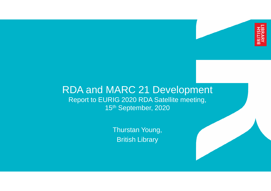

#### RDA and MARC 21 Development Report to EURIG 2020 RDA Satellite meeting, 15th September, 2020

Thurstan Young, British Library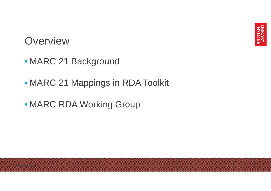

#### **Overview**

- MARC 21 Background
- MARC 21 Mappings in RDA Toolkit
- MARC RDA Working Group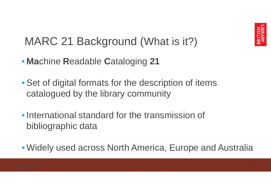

#### MARC 21 Background (What is it?)

- **Ma**chine **R**eadable **C**ataloging **21**
- Set of digital formats for the description of items catalogued by the library community
- International standard for the transmission of bibliographic data
- Widely used across North America, Europe and Australia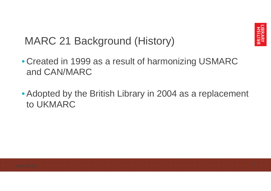

#### MARC 21 Background (History)

- Created in 1999 as a result of harmonizing USMARC and CAN/MARC
- Adopted by the British Library in 2004 as a replacement to UKMARC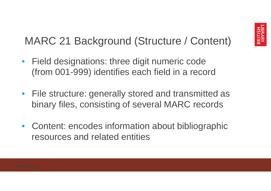#### MARC 21 Background (Structure / Content)

- Field designations: three digit numeric code (from 001-999) identifies each field in a record
- File structure: generally stored and transmitted as binary files, consisting of several MARC records
- Content: encodes information about bibliographic resources and related entities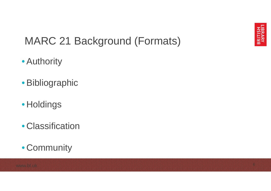

#### MARC 21 Background (Formats)

- Authority
- Bibliographic
- Holdings
- Classification
- Community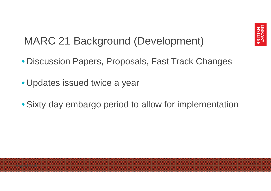

#### MARC 21 Background (Development)

- Discussion Papers, Proposals, Fast Track Changes
- Updates issued twice a year
- Sixty day embargo period to allow for implementation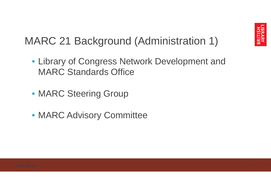#### MARC 21 Background (Administration 1)

- Library of Congress Network Development and MARC Standards Office
- MARC Steering Group
- MARC Advisory Committee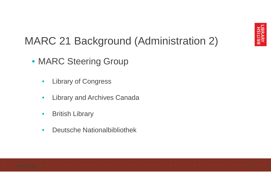#### MARC 21 Background (Administration 2)

- MARC Steering Group
	- Library of Congress
	- Library and Archives Canada
	- British Library
	- Deutsche Nationalbibliothek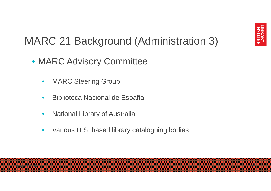#### MARC 21 Background (Administration 3)

- MARC Advisory Committee
	- MARC Steering Group
	- Biblioteca Nacional de España
	- National Library of Australia
	- Various U.S. based library cataloguing bodies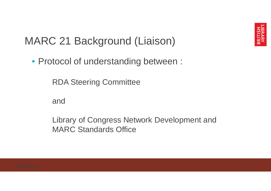

#### MARC 21 Background (Liaison)

• Protocol of understanding between :

RDA Steering Committee

and

Library of Congress Network Development and MARC Standards Office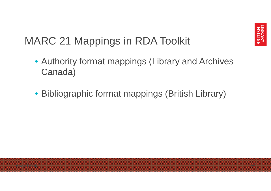

#### MARC 21 Mappings in RDA Toolkit

- Authority format mappings (Library and Archives Canada)
- Bibliographic format mappings (British Library)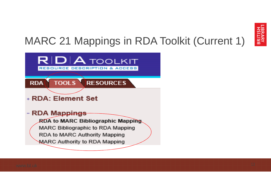

### MARC 21 Mappings in RDA Toolkit (Current 1)

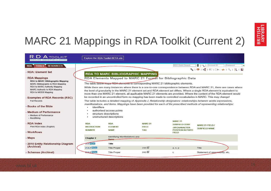

### MARC 21 Mappings in RDA Toolkit (Current 2)

| <b>RDA</b> TOOLKIT<br>RESOURCE DESCRIPTION & ACCESS                                                                                                                                      | Explore the RDA Toolkit BETA site                           |                                                                                 |                                                                                                                                                                                                                                                                                                                                                                                                                                                                                                                                           |                                                                                                          |                                                |          |  |  |
|------------------------------------------------------------------------------------------------------------------------------------------------------------------------------------------|-------------------------------------------------------------|---------------------------------------------------------------------------------|-------------------------------------------------------------------------------------------------------------------------------------------------------------------------------------------------------------------------------------------------------------------------------------------------------------------------------------------------------------------------------------------------------------------------------------------------------------------------------------------------------------------------------------------|----------------------------------------------------------------------------------------------------------|------------------------------------------------|----------|--|--|
| <b>TOOLS RESOURCES</b><br><b>RDA</b>                                                                                                                                                     |                                                             |                                                                                 |                                                                                                                                                                                                                                                                                                                                                                                                                                                                                                                                           | RDA Quick Search                                                                                         | 19.1<br>Account ID                             | Password |  |  |
| + RDA: Element Set                                                                                                                                                                       |                                                             |                                                                                 | <b>RDA TO MARC BIBLIOGRAPHIC MAPPING</b>                                                                                                                                                                                                                                                                                                                                                                                                                                                                                                  |                                                                                                          | SIOIKRI <del>€I⊡</del> I⇒IQIRIN                |          |  |  |
| - RDA Mappings<br><b>RDA to MARC Bibliographic Mapping</b><br>MARC Bibliographic to RDA Mapping<br>RDA to MARC Authority Mapping<br>MARC Authority to RDA Mapping<br>RDA to MODS Mapping |                                                             |                                                                                 | RDA Elements Mapped to MARC 21 Format for Bibliographic Data<br>The table below maps RDA elements to corresponding MARC 21 bibliographic elements.<br>While there are many instances where there is a one-to-one correspondence between RDA and MARC 21, there are cases where<br>the level of granularity in the MARC 21 element set and RDA element set differs. Where a single RDA element is equivalent to<br>more than one MARC 21 element, all applicable MARC 21 elements are provided. Where the content of the RDA element would |                                                                                                          |                                                |          |  |  |
| <b>Examples of RDA Records (RSC)</b><br><b>Full Records</b>                                                                                                                              |                                                             |                                                                                 | be recorded in an uncontrolled form no mapping has been made to controlled vocabularies in MARC. This may change!<br>The table includes a detailed mapping of Appendix J, Relationship designators: relationships between works expressions,                                                                                                                                                                                                                                                                                              |                                                                                                          |                                                |          |  |  |
| <b>Books of the Bible</b>                                                                                                                                                                | <i>identifiers</i>                                          |                                                                                 | manifestations, and items. Mappings have been provided for each of the prescribed methods of representing relationships:                                                                                                                                                                                                                                                                                                                                                                                                                  |                                                                                                          |                                                |          |  |  |
| <b>Medium of Performance</b><br>+ Medium of Performance<br>+ Besättning                                                                                                                  |                                                             | authorised access points<br>structure descriptions<br>unstructured descriptions |                                                                                                                                                                                                                                                                                                                                                                                                                                                                                                                                           |                                                                                                          |                                                |          |  |  |
| - RDA Index<br>Print RDA Index (English)<br>+ Workflows                                                                                                                                  | <b>RDA</b><br><b>INSTRUCTION</b><br><b>NUMBER</b>           | <b>RDA</b><br><b>FLEMENT</b><br><b>NAME</b>                                     | <b>MARC 21</b><br><b>FIELD</b><br><b>TAG</b>                                                                                                                                                                                                                                                                                                                                                                                                                                                                                              | <b>MARC 21</b><br><b>SUBFIELD CODE</b><br><b>ORCHARACTER</b><br><b>POSITION IN FIXED</b><br><b>FIELD</b> | <b>MARC 21 FIELD /</b><br><b>SUBFIELD NAME</b> |          |  |  |
| + Maps                                                                                                                                                                                   | Identifying Manifestations and<br>Chapter 2<br><b>Items</b> |                                                                                 |                                                                                                                                                                                                                                                                                                                                                                                                                                                                                                                                           |                                                                                                          |                                                |          |  |  |
| +2010 Entity Relationship Diagram<br>(Archival)                                                                                                                                          | 2.8 RDA<br><b>232 RDA</b>                                   | Title<br><b>Title Proper</b>                                                    | 245 <sup>2</sup>                                                                                                                                                                                                                                                                                                                                                                                                                                                                                                                          | a, n, p                                                                                                  | Title                                          |          |  |  |
| + Schemas (Archival)                                                                                                                                                                     | <b>2.3.2 RDA</b>                                            | <b>Title Proper</b>                                                             | 245%                                                                                                                                                                                                                                                                                                                                                                                                                                                                                                                                      | c                                                                                                        | Statement of responsibility, etc.              |          |  |  |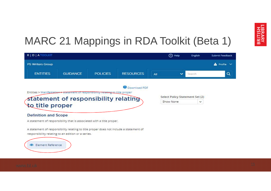

#### MARC 21 Mappings in RDA Toolkit (Beta 1)

| R   D   A TOOLKIT           |                                                                                                                                              |                 |                  |     | (?) Help     | English                         | Submit Feedback |
|-----------------------------|----------------------------------------------------------------------------------------------------------------------------------------------|-----------------|------------------|-----|--------------|---------------------------------|-----------------|
| <b>PS Writers Group</b>     |                                                                                                                                              |                 |                  |     |              |                                 | $Profile \vee$  |
| <b>ENTITIES</b>             | <b>GUIDANCE</b>                                                                                                                              | <b>POLICIES</b> | <b>RESOURCES</b> | All | $\checkmark$ | Search                          | Q               |
|                             |                                                                                                                                              |                 | Download PDF     |     |              |                                 |                 |
|                             | Entities > Manifestation > statement of responsibility relating to title proper                                                              |                 |                  |     |              |                                 |                 |
|                             | statement of responsibility relating                                                                                                         |                 |                  |     |              | Select Policy Statement Set (2) |                 |
|                             |                                                                                                                                              |                 |                  |     | Show None    | v                               |                 |
| to title proper             |                                                                                                                                              |                 |                  |     |              |                                 |                 |
| <b>Definition and Scope</b> |                                                                                                                                              |                 |                  |     |              |                                 |                 |
|                             | A statement of responsibility that is associated with a title proper.                                                                        |                 |                  |     |              |                                 |                 |
|                             |                                                                                                                                              |                 |                  |     |              |                                 |                 |
|                             | A statement of responsibility relating to title proper does not include a statement of<br>responsibility relating to an edition or a series. |                 |                  |     |              |                                 |                 |
|                             |                                                                                                                                              |                 |                  |     |              |                                 |                 |
| Element Reference<br>ൈ      |                                                                                                                                              |                 |                  |     |              |                                 |                 |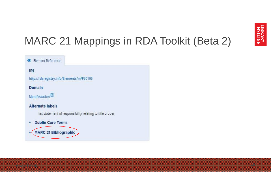

### MARC 21 Mappings in RDA Toolkit (Beta 2)

| Element Reference                                        |
|----------------------------------------------------------|
| IRI                                                      |
| http://rdaregistry.info/Elements/m/P30105                |
| Domain                                                   |
| Manifestation <sup>23</sup>                              |
| <b>Alternate labels</b>                                  |
| has statement of responsibility relating to title proper |
| <b>Dublin Core Terms</b>                                 |
| <b>MARC 21 Bibliographic</b>                             |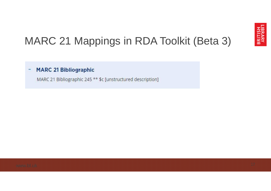

#### MARC 21 Mappings in RDA Toolkit (Beta 3)

#### **MARC 21 Bibliographic**

MARC 21 Bibliographic 245 \*\* \$c [unstructured description]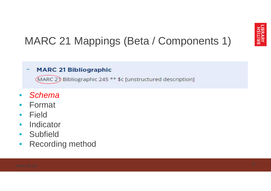### MARC 21 Mappings (Beta / Components 1)

#### **MARC 21 Bibliographic**

(MARC 2) Bibliographic 245 \*\* \$c [unstructured description]

- *Schema*
- Format
- Field
- Indicator
- Subfield
- Recording method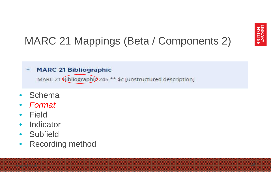### MARC 21 Mappings (Beta / Components 2)

#### **MARC 21 Bibliographic**

MARC 21 Bibliographic 245 \*\* \$c [unstructured description]

- Schema
- *Format*
- Field
- Indicator
- Subfield
- Recording method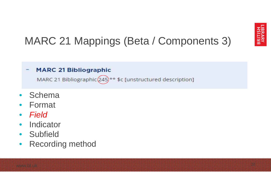### MARC 21 Mappings (Beta / Components 3)

#### **MARC 21 Bibliographic**

MARC 21 Bibliographic (245) \*\* \$c [unstructured description]

- Schema
- Format
- *Field*
- Indicator
- Subfield
- Recording method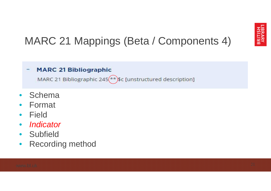### MARC 21 Mappings (Beta / Components 4)

#### **MARC 21 Bibliographic**

MARC 21 Bibliographic 245( $\star\star$ )\$c [unstructured description]

- Schema
- Format
- Field
- *Indicator*
- Subfield
- Recording method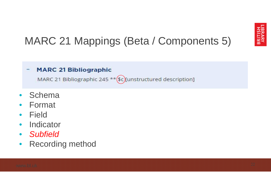### MARC 21 Mappings (Beta / Components 5)

#### **MARC 21 Bibliographic**

MARC 21 Bibliographic 245 \*\* (\$c)[unstructured description]

- Schema
- Format
- Field
- Indicator
- *Subfield*
- Recording method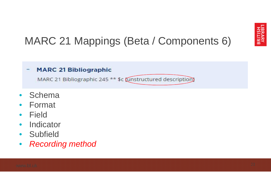### MARC 21 Mappings (Beta / Components 6)

#### **MARC 21 Bibliographic**

MARC 21 Bibliographic 245 \*\* \$c (unstructured description)

- Schema
- Format
- Field
- Indicator
- Subfield
- *Recording method*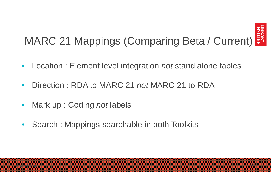

# MARC 21 Mappings (Comparing Beta / Current)

- Location : Element level integration *not* stand alone tables
- Direction : RDA to MARC 21 *not* MARC 21 to RDA
- Mark up : Coding *not* labels
- Search : Mappings searchable in both Toolkits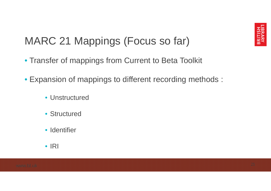

#### MARC 21 Mappings (Focus so far)

- Transfer of mappings from Current to Beta Toolkit
- Expansion of mappings to different recording methods :
	- Unstructured
	- Structured
	- Identifier
	- IRI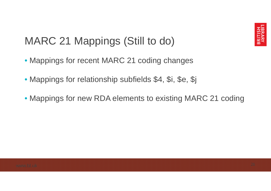

#### MARC 21 Mappings (Still to do)

- Mappings for recent MARC 21 coding changes
- Mappings for relationship subfields \$4, \$i, \$e, \$j
- Mappings for new RDA elements to existing MARC 21 coding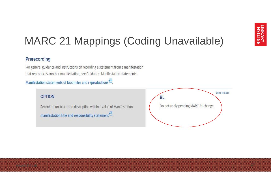### MARC 21 Mappings (Coding Unavailable)

#### Prerecording

For general guidance and instructions on recording a statement from a manifestation that reproduces another manifestation, see Guidance: Manifestation statements.

Manifestation statements of facsimiles and reproductions  $^{\overline{23}}$ .

#### **OPTION**

Record an unstructured description within a value of Manifestation: manifestation title and responsibility statement<sup>23</sup>.

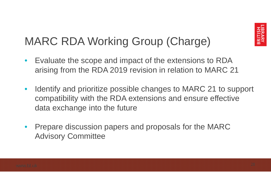

### MARC RDA Working Group (Charge)

- Evaluate the scope and impact of the extensions to RDA arising from the RDA 2019 revision in relation to MARC 21
- Identify and prioritize possible changes to MARC 21 to support compatibility with the RDA extensions and ensure effective data exchange into the future
- Prepare discussion papers and proposals for the MARC Advisory Committee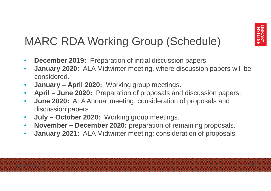### MARC RDA Working Group (Schedule)

- **December 2019:** Preparation of initial discussion papers.
- **January 2020:** ALA Midwinter meeting, where discussion papers will be considered.
- **January – April 2020:** Working group meetings.
- **April – June 2020:** Preparation of proposals and discussion papers.
- **June 2020:** ALA Annual meeting; consideration of proposals and discussion papers.
- **July – October 2020:** Working group meetings.
- **November – December 2020:** preparation of remaining proposals.
- **January 2021:** ALA Midwinter meeting; consideration of proposals.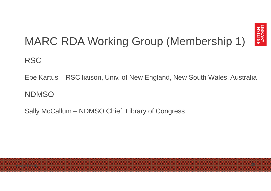

# MARC RDA Working Group (Membership 1)

**RSC** 

Ebe Kartus – RSC liaison, Univ. of New England, New South Wales, Australia

**NDMSO** 

Sally McCallum – NDMSO Chief, Library of Congress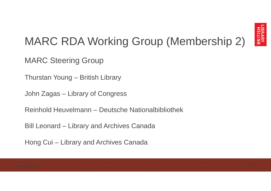

### MARC RDA Working Group (Membership 2)

MARC Steering Group

Thurstan Young – British Library

John Zagas – Library of Congress

Reinhold Heuvelmann – Deutsche Nationalbibliothek

Bill Leonard – Library and Archives Canada

Hong Cui – Library and Archives Canada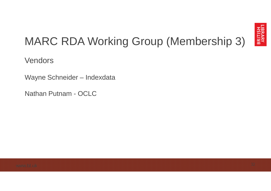

# MARC RDA Working Group (Membership 3)

Vendors

Wayne Schneider – Indexdata

Nathan Putnam - OCLC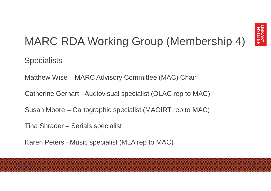

# MARC RDA Working Group (Membership 4)

**Specialists** 

Matthew Wise – MARC Advisory Committee (MAC) Chair

Catherine Gerhart –Audiovisual specialist (OLAC rep to MAC)

Susan Moore – Cartographic specialist (MAGIRT rep to MAC)

Tina Shrader – Serials specialist

Karen Peters –Music specialist (MLA rep to MAC)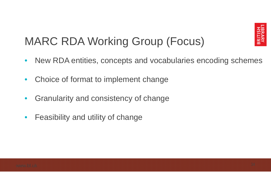

### MARC RDA Working Group (Focus)

- New RDA entities, concepts and vocabularies encoding schemes
- Choice of format to implement change
- Granularity and consistency of change
- Feasibility and utility of change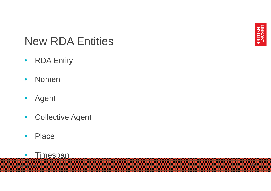

#### New RDA Entities

- RDA Entity
- Nomen
- Agent
- Collective Agent
- Place

#### • Timespan

[www.bl.uk](http://www.bl.uk)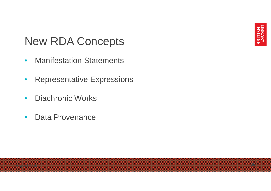#### New RDA Concepts

- Manifestation Statements
- Representative Expressions
- Diachronic Works
- Data Provenance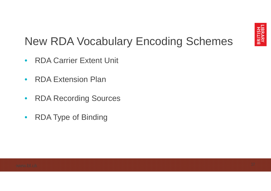

### New RDA Vocabulary Encoding Schemes

- RDA Carrier Extent Unit
- RDA Extension Plan
- RDA Recording Sources
- RDA Type of Binding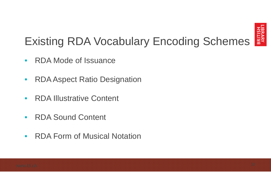

# Existing RDA Vocabulary Encoding Schemes

- RDA Mode of Issuance
- RDA Aspect Ratio Designation
- RDA Illustrative Content
- RDA Sound Content
- RDA Form of Musical Notation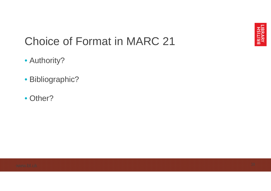

#### Choice of Format in MARC 21

- Authority?
- Bibliographic?
- Other?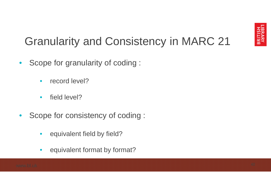

### Granularity and Consistency in MARC 21

- Scope for granularity of coding :
	- record level?
	- field level?
- Scope for consistency of coding :
	- equivalent field by field?
	- equivalent format by format?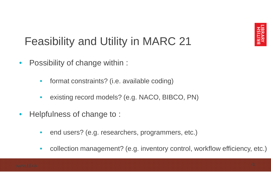

### Feasibility and Utility in MARC 21

- Possibility of change within :
	- format constraints? (i.e. available coding)
	- existing record models? (e.g. NACO, BIBCO, PN)
- Helpfulness of change to:
	- end users? (e.g. researchers, programmers, etc.)
	- collection management? (e.g. inventory control, workflow efficiency, etc.)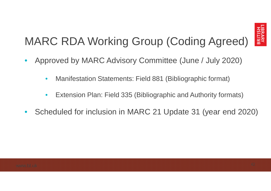

# MARC RDA Working Group (Coding Agreed)

- Approved by MARC Advisory Committee (June / July 2020)
	- Manifestation Statements: Field 881 (Bibliographic format)
	- Extension Plan: Field 335 (Bibliographic and Authority formats)
- Scheduled for inclusion in MARC 21 Update 31 (year end 2020)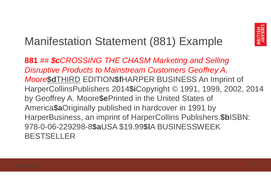

#### Manifestation Statement (881) Example

**881** ## *\$cCROSSING THE CHASM Marketing and Selling Disruptive Products to Mainstream Customers Geoffrey A. Moore***\$d**THIRD EDITION**\$f**HARPER BUSINESS An Imprint of HarperCollinsPublishers 2014**\$i**Copyright © 1991, 1999, 2002, 2014 by Geoffrey A. Moore**\$e**Printed in the United States of America**\$a**Originally published in hardcover in 1991 by HarperBusiness, an imprint of HarperCollins Publishers.**\$b**ISBN: 978-0-06-229298-8**\$a**USA \$19.99**\$l**A BUSINESSWEEK BESTSELLER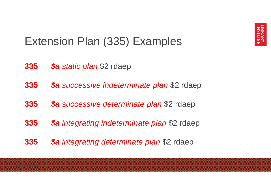

#### Extension Plan (335) Examples

- *\$a static plan* \$2 rdaep
- *\$a successive indeterminate plan* \$2 rdaep
- *\$a successive determinate plan* \$2 rdaep
- *\$a integrating indeterminate plan* \$2 rdaep
- *\$a integrating determinate plan* \$2 rdaep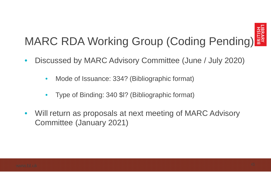

# MARC RDA Working Group (Coding Pending)

- Discussed by MARC Advisory Committee (June / July 2020)
	- Mode of Issuance: 334? (Bibliographic format)
	- Type of Binding: 340 \$l? (Bibliographic format)
- Will return as proposals at next meeting of MARC Advisory Committee (January 2021)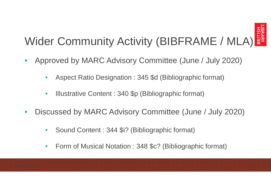

# Wider Community Activity (BIBFRAME / MLA)

- Approved by MARC Advisory Committee (June / July 2020)
	- Aspect Ratio Designation : 345 \$d (Bibliographic format)
	- Illustrative Content : 340 \$p (Bibliographic format)
- Discussed by MARC Advisory Committee (June / July 2020)
	- Sound Content : 344 \$i? (Bibliographic format)
	- Form of Musical Notation : 348 \$c? (Bibliographic format)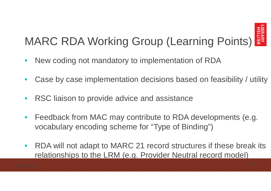

# MARC RDA Working Group (Learning Points)

- New coding not mandatory to implementation of RDA
- Case by case implementation decisions based on feasibility / utility
- RSC liaison to provide advice and assistance
- Feedback from MAC may contribute to RDA developments (e.g. vocabulary encoding scheme for "Type of Binding")
- RDA will not adapt to MARC 21 record structures if these break its relationships to the LRM (e.g. Provider Neutral record model)